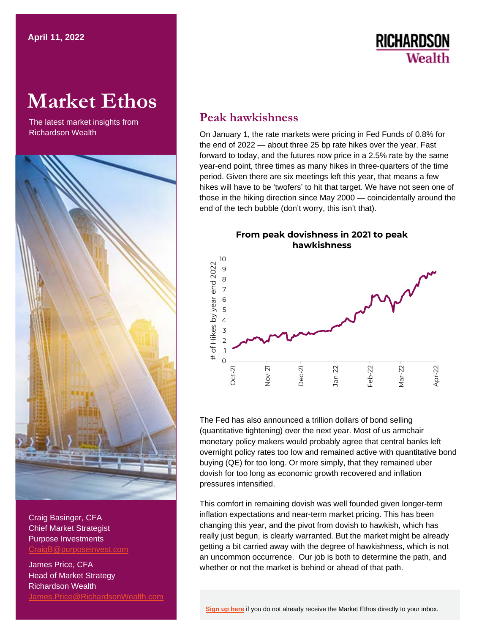## **RICHARDSON** Wealth

# **Market Ethos**

The latest market insights from



Craig Basinger, CFA Chief Market Strategist Purpose Investments [CraigB@purposeinvest.com](mailto:CraigB@purposeinvest.com) 

James Price, CFA Head of Market Strategy Richardson Wealth [James.Price@RichardsonWealth.com](mailto:James.Price@RichardsonWealth.com) 

### **Peak hawkishness**

 On January 1, the rate markets were pricing in Fed Funds of 0.8% for the end of 2022 — about three 25 bp rate hikes over the year. Fast forward to today, and the futures now price in a 2.5% rate by the same year-end point, three times as many hikes in three-quarters of the time period. Given there are six meetings left this year, that means a few hikes will have to be 'twofers' to hit that target. We have not seen one of those in the hiking direction since May 2000 — coincidentally around the end of the tech bubble (don't worry, this isn't that).

**From peak dovishness in 2021 to peak hawkishness** 



 The Fed has also announced a trillion dollars of bond selling (quantitative tightening) over the next year. Most of us armchair monetary policy makers would probably agree that central banks left overnight policy rates too low and remained active with quantitative bond buying (QE) for too long. Or more simply, that they remained uber dovish for too long as economic growth recovered and inflation pressures intensified.

 This comfort in remaining dovish was well founded given longer-term inflation expectations and near-term market pricing. This has been changing this year, and the pivot from dovish to hawkish, which has really just begun, is clearly warranted. But the market might be already getting a bit carried away with the degree of hawkishness, which is not an uncommon occurrence. Our job is both to determine the path, and whether or not the market is behind or ahead of that path.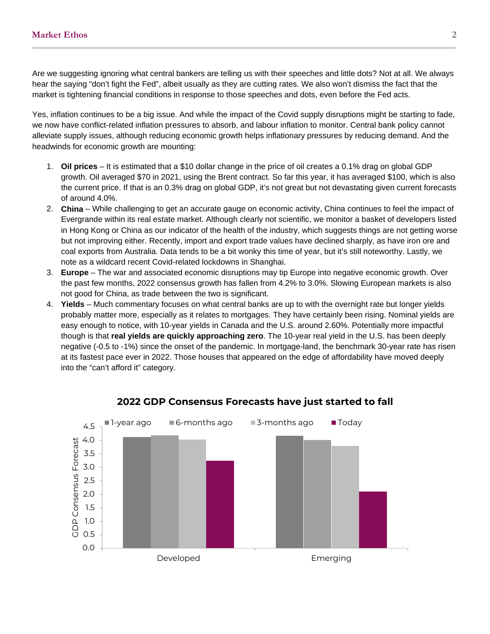Are we suggesting ignoring what central bankers are telling us with their speeches and little dots? Not at all. We always hear the saying "don't fight the Fed", albeit usually as they are cutting rates. We also won't dismiss the fact that the market is tightening financial conditions in response to those speeches and dots, even before the Fed acts.

 Yes, inflation continues to be a big issue. And while the impact of the Covid supply disruptions might be starting to fade, we now have conflict-related inflation pressures to absorb, and labour inflation to monitor. Central bank policy cannot alleviate supply issues, although reducing economic growth helps inflationary pressures by reducing demand. And the headwinds for economic growth are mounting:

- 1. **Oil prices**  It is estimated that a \$10 dollar change in the price of oil creates a 0.1% drag on global GDP growth. Oil averaged \$70 in 2021, using the Brent contract. So far this year, it has averaged \$100, which is also the current price. If that is an 0.3% drag on global GDP, it's not great but not devastating given current forecasts of around 4.0%.
- 2. **China**  While challenging to get an accurate gauge on economic activity, China continues to feel the impact of Evergrande within its real estate market. Although clearly not scientific, we monitor a basket of developers listed in Hong Kong or China as our indicator of the health of the industry, which suggests things are not getting worse but not improving either. Recently, import and export trade values have declined sharply, as have iron ore and coal exports from Australia. Data tends to be a bit wonky this time of year, but it's still noteworthy. Lastly, we note as a wildcard recent Covid-related lockdowns in Shanghai.
- 3. **Europe**  The war and associated economic disruptions may tip Europe into negative economic growth. Over the past few months, 2022 consensus growth has fallen from 4.2% to 3.0%. Slowing European markets is also not good for China, as trade between the two is significant.
- 4. **Yields**  Much commentary focuses on what central banks are up to with the overnight rate but longer yields probably matter more, especially as it relates to mortgages. They have certainly been rising. Nominal yields are easy enough to notice, with 10-year yields in Canada and the U.S. around 2.60%. Potentially more impactful though is that **real yields are quickly approaching zero**. The 10-year real yield in the U.S. has been deeply negative (-0.5 to -1%) since the onset of the pandemic. In mortgage-land, the benchmark 30-year rate has risen at its fastest pace ever in 2022. Those houses that appeared on the edge of affordability have moved deeply into the "can't afford it" category.



### **2022 GDP Consensus Forecasts have just started to fall**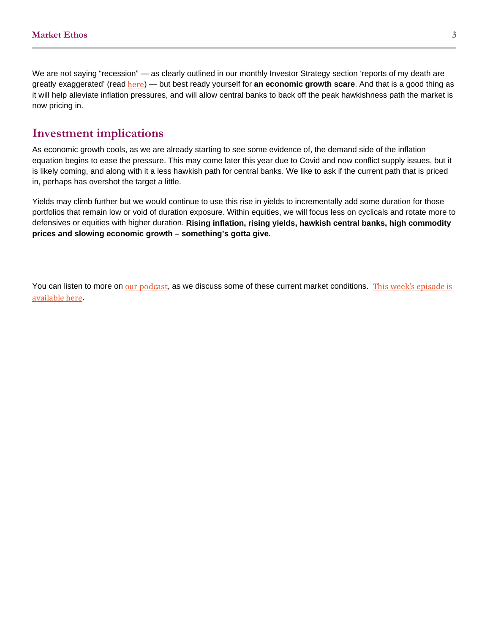### **Investment implications**

 As economic growth cools, as we are already starting to see some evidence of, the demand side of the inflation equation begins to ease the pressure. This may come later this year due to Covid and now conflict supply issues, but it is likely coming, and along with it a less hawkish path for central banks. We like to ask if the current path that is priced in, perhaps has overshot the target a little.

 Yields may climb further but we would continue to use this rise in yields to incrementally add some duration for those portfolios that remain low or void of duration exposure. Within equities, we will focus less on cyclicals and rotate more to defensives or equities with higher duration. **Rising inflation, rising yields, hawkish central banks, high commodity prices and slowing economic growth – something's gotta give.** 

You can listen to more on <u>[our podcast](https://open.spotify.com/show/3LiKZtM6wRXJKmvXdPrlAb?si=e9fb79dd278d4801)</u>, as we discuss some of these current market conditions. This week's episode is [available here](https://open.spotify.com/episode/73Xd08jzIvmvRACxiXIVcR?si=8fLMeHLfR3u_jNR_IbD_GQ).